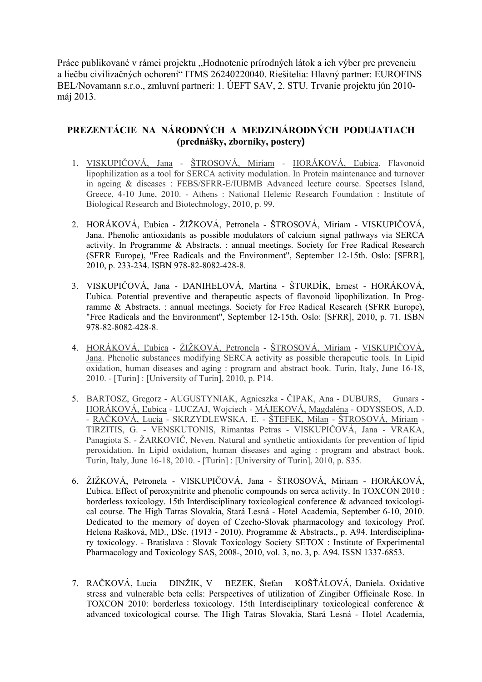Práce publikované v rámci projektu "Hodnotenie prírodných látok a ich výber pre prevenciu a liečbu civilizačných ochorení" ITMS 26240220040. Riešitelia: Hlavný partner: EUROFINS BEL/Novamann s.r.o., zmluvní partneri: 1. ÚEFT SAV, 2. STU. Trvanie projektu jún 2010 máj 2013.

## **PREZENTÁCIE NA NÁRODNÝCH A MEDZINÁRODNÝCH PODUJATIACH (prednášky, zborníky, postery)**

- 1. VISKUPIČOVÁ, Jana ŠTROSOVÁ, Miriam HORÁKOVÁ, Ľubica. Flavonoid lipophilization as a tool for SERCA activity modulation. In Protein maintenance and turnover in ageing & diseases : FEBS/SFRR-E/IUBMB Advanced lecture course. Speetses Island, Greece, 4-10 June, 2010. - Athens : National Helenic Research Foundation : Institute of Biological Research and Biotechnology, 2010, p. 99.
- 2. HORÁKOVÁ, Ľubica ŽIŽKOVÁ, Petronela ŠTROSOVÁ, Miriam VISKUPIČOVÁ, Jana. Phenolic antioxidants as possible modulators of calcium signal pathways via SERCA activity. In Programme & Abstracts. : annual meetings. Society for Free Radical Research (SFRR Europe), "Free Radicals and the Environment", September 12-15th. Oslo: [SFRR], 2010, p. 233-234. ISBN 978-82-8082-428-8.
- 3. VISKUPIČOVÁ, Jana DANIHELOVÁ, Martina ŠTURDÍK, Ernest HORÁKOVÁ, Ľubica. Potential preventive and therapeutic aspects of flavonoid lipophilization. In Programme & Abstracts. : annual meetings. Society for Free Radical Research (SFRR Europe), "Free Radicals and the Environment", September 12-15th. Oslo: [SFRR], 2010, p. 71. ISBN 978-82-8082-428-8.
- 4. HORÁKOVÁ, Ľubica ŽIŽKOVÁ, Petronela ŠTROSOVÁ, Miriam VISKUPIČOVÁ, Jana. Phenolic substances modifying SERCA activity as possible therapeutic tools. In Lipid oxidation, human diseases and aging : program and abstract book. Turin, Italy, June 16-18, 2010. - [Turin] : [University of Turin], 2010, p. P14.
- 5. BARTOSZ, Gregorz AUGUSTYNIAK, Agnieszka ČIPAK, Ana DUBURS, Gunars HORÁKOVÁ, Ľubica - LUCZAJ, Wojciech - MÁJEKOVÁ, Magdaléna - ODYSSEOS, A.D. - RAČKOVÁ, Lucia - SKRZYDLEWSKA, E. - ŠTEFEK, Milan - ŠTROSOVÁ, Miriam - TIRZITIS, G. - VENSKUTONIS, Rimantas Petras - VISKUPIČOVÁ, Jana - VRAKA, Panagiota S. - ŽARKOVIČ, Neven. Natural and synthetic antioxidants for prevention of lipid peroxidation. In Lipid oxidation, human diseases and aging : program and abstract book. Turin, Italy, June 16-18, 2010. - [Turin] : [University of Turin], 2010, p. S35.
- 6. ŽIŽKOVÁ, Petronela VISKUPIČOVÁ, Jana ŠTROSOVÁ, Miriam HORÁKOVÁ, Ľubica. Effect of peroxynitrite and phenolic compounds on serca activity. In TOXCON 2010 : borderless toxicology. 15th Interdisciplinary toxicological conference & advanced toxicological course. The High Tatras Slovakia, Stará Lesná - Hotel Academia, September 6-10, 2010. Dedicated to the memory of doyen of Czecho-Slovak pharmacology and toxicology Prof. Helena Rašková, MD., DSc. (1913 - 2010). Programme & Abstracts., p. A94. Interdisciplinary toxicology. - Bratislava : Slovak Toxicology Society SETOX : Institute of Experimental Pharmacology and Toxicology SAS, 2008-, 2010, vol. 3, no. 3, p. A94. ISSN 1337-6853.
- 7. RAČKOVÁ, Lucia DINŽIK, V BEZEK, Štefan KOŠŤÁLOVÁ, Daniela. Oxidative stress and vulnerable beta cells: Perspectives of utilization of Zingiber Officinale Rosc. In TOXCON 2010: borderless toxicology. 15th Interdisciplinary toxicological conference & advanced toxicological course. The High Tatras Slovakia, Stará Lesná - Hotel Academia,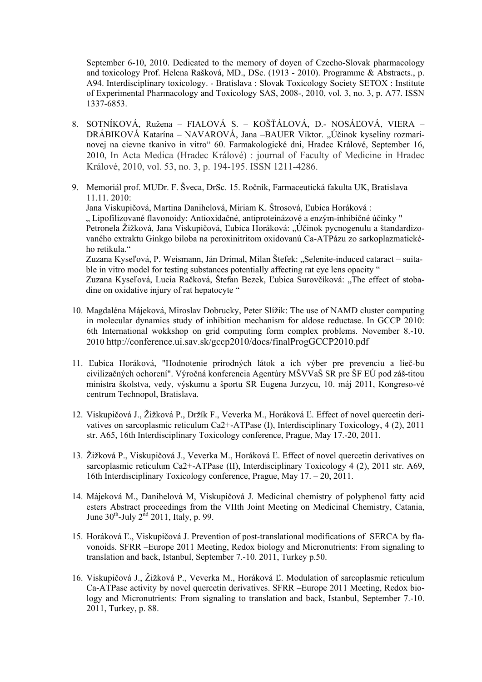September 6-10, 2010. Dedicated to the memory of doyen of Czecho-Slovak pharmacology and toxicology Prof. Helena Rašková, MD., DSc. (1913 - 2010). Programme & Abstracts., p. A94. Interdisciplinary toxicology. - Bratislava : Slovak Toxicology Society SETOX : Institute of Experimental Pharmacology and Toxicology SAS, 2008-, 2010, vol. 3, no. 3, p. A77. ISSN 1337-6853.

- 8. SOTNÍKOVÁ, Ružena FIALOVÁ S. KOŠŤÁLOVÁ, D.- NOSÁĽOVÁ, VIERA DRÁBIKOVÁ Katarína – NAVAROVÁ, Jana –BAUER Viktor. "Účinok kyseliny rozmarínovej na cievne tkanivo in vitro" 60. Farmakologické dni, Hradec Králové, September 16, 2010, In Acta Medica (Hradec Králové) : journal of Faculty of Medicine in Hradec Králové, 2010, vol. 53, no. 3, p. 194-195. ISSN 1211-4286.
- 9. Memoriál prof. MUDr. F. Šveca, DrSc. 15. Ročník, Farmaceutická fakulta UK, Bratislava 11.11. 2010: Jana Viskupičová, Martina Danihelová, Miriam K. Štrosová, Ľubica Horáková : " Lipofilizované flavonoidy: Antioxidačné, antiproteinázové a enzým-inhibičné účinky " Petronela Žižková, Jana Viskupičová, Ľubica Horáková: "Účinok pycnogenulu a štandardizovaného extraktu Ginkgo biloba na peroxinitritom oxidovanú Ca-ATPázu zo sarkoplazmatického retikula." Zuzana Kyseľová, P. Weismann, Ján Drímal, Milan Štefek: "Selenite-induced cataract – suitable in vitro model for testing substances potentially affecting rat eye lens opacity " Zuzana Kyseľová, Lucia Račková, Štefan Bezek, Ľubica Surovčíková: "The effect of stobadine on oxidative injury of rat hepatocyte "
- 10. Magdaléna Májeková, Miroslav Dobrucky, Peter Slížik: The use of NAMD cluster computing in molecular dynamics study of inhibition mechanism for aldose reductase. In GCCP 2010: 6th International wokkshop on grid computing form complex problems. November 8.-10. 2010 http://conference.ui.sav.sk/gccp2010/docs/finalProgGCCP2010.pdf
- 11. Ľubica Horáková, "Hodnotenie prírodných látok a ich výber pre prevenciu a lieč-bu civilizačných ochorení". Výročná konferencia Agentúry MŠVVaŠ SR pre ŠF EÚ pod záš-titou ministra školstva, vedy, výskumu a športu SR Eugena Jurzycu, 10. máj 2011, Kongreso-vé centrum Technopol, Bratislava.
- 12. Viskupičová J., Žižková P., Držík F., Veverka M., Horáková Ľ. Effect of novel quercetin derivatives on sarcoplasmic reticulum Ca2+-ATPase (I), Interdisciplinary Toxicology, 4 (2), 2011 str. A65, 16th Interdisciplinary Toxicology conference, Prague, May 17.-20, 2011.
- 13. Žižková P., Viskupičová J., Veverka M., Horáková Ľ. Effect of novel quercetin derivatives on sarcoplasmic reticulum Ca2+-ATPase (II), Interdisciplinary Toxicology 4 (2), 2011 str. A69, 16th Interdisciplinary Toxicology conference, Prague, May 17. – 20, 2011.
- 14. Májeková M., Danihelová M, Viskupičová J. Medicinal chemistry of polyphenol fatty acid esters Abstract proceedings from the VIIth Joint Meeting on Medicinal Chemistry, Catania, June  $30^{th}$ -July  $2^{nd}$  2011, Italy, p. 99.
- 15. Horáková Ľ., Viskupičová J. Prevention of post-translational modifications of SERCA by flavonoids. SFRR –Europe 2011 Meeting, Redox biology and Micronutrients: From signaling to translation and back, Istanbul, September 7.-10. 2011, Turkey p.50.
- 16. Viskupičová J., Žižková P., Veverka M., Horáková Ľ. Modulation of sarcoplasmic reticulum Ca-ATPase activity by novel quercetin derivatives. SFRR –Europe 2011 Meeting, Redox biology and Micronutrients: From signaling to translation and back, Istanbul, September 7.-10. 2011, Turkey, p. 88.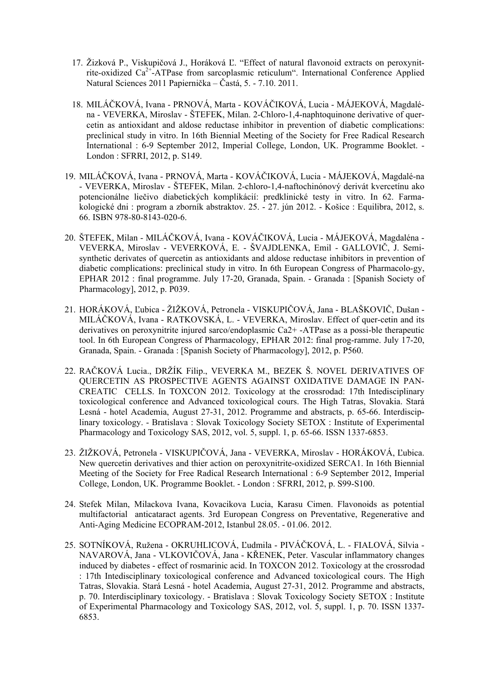- 17. Žizková P., Viskupičová J., Horáková Ľ. "Effect of natural flavonoid extracts on peroxynitrite-oxidized Ca2+-ATPase from sarcoplasmic reticulum". International Conference Applied Natural Sciences 2011 Papiernička – Častá, 5. - 7.10. 2011.
- 18. MILÁČKOVÁ, Ivana PRNOVÁ, Marta KOVÁČIKOVÁ, Lucia MÁJEKOVÁ, Magdaléna - VEVERKA, Miroslav - ŠTEFEK, Milan. 2-Chloro-1,4-naphtoquinone derivative of quercetin as antioxidant and aldose reductase inhibitor in prevention of diabetic complications: preclinical study in vitro. In 16th Biennial Meeting of the Society for Free Radical Research International : 6-9 September 2012, Imperial College, London, UK. Programme Booklet. - London : SFRRI, 2012, p. S149.
- 19. MILÁČKOVÁ, Ivana PRNOVÁ, Marta KOVÁČIKOVÁ, Lucia MÁJEKOVÁ, Magdalé-na - VEVERKA, Miroslav - ŠTEFEK, Milan. 2-chloro-1,4-naftochinónový derivát kvercetínu ako potencionálne liečivo diabetických komplikácií: predklinické testy in vitro. In 62. Farmakologické dni : program a zborník abstraktov. 25. - 27. jún 2012. - Košice : Equilibra, 2012, s. 66. ISBN 978-80-8143-020-6.
- 20. ŠTEFEK, Milan MILÁČKOVÁ, Ivana KOVÁČIKOVÁ, Lucia MÁJEKOVÁ, Magdaléna VEVERKA, Miroslav - VEVERKOVÁ, E. - ŠVAJDLENKA, Emil - GALLOVIČ, J. Semisynthetic derivates of quercetin as antioxidants and aldose reductase inhibitors in prevention of diabetic complications: preclinical study in vitro. In 6th European Congress of Pharmacolo-gy, EPHAR 2012 : final programme. July 17-20, Granada, Spain. - Granada : [Spanish Society of Pharmacology], 2012, p. P039.
- 21. HORÁKOVÁ, Ľubica ŽIŽKOVÁ, Petronela VISKUPIČOVÁ, Jana BLAŠKOVIČ, Dušan MILÁČKOVÁ, Ivana - RATKOVSKÁ, L. - VEVERKA, Miroslav. Effect of quer-cetin and its derivatives on peroxynitrite injured sarco/endoplasmic Ca2+ -ATPase as a possi-ble therapeutic tool. In 6th European Congress of Pharmacology, EPHAR 2012: final prog-ramme. July 17-20, Granada, Spain. - Granada : [Spanish Society of Pharmacology], 2012, p. P560.
- 22. RAČKOVÁ Lucia., DRŽÍK Filip., VEVERKA M., BEZEK Š. NOVEL DERIVATIVES OF QUERCETIN AS PROSPECTIVE AGENTS AGAINST OXIDATIVE DAMAGE IN PAN-CREATIC CELLS. In TOXCON 2012. Toxicology at the crossrodad: 17th Intedisciplinary toxicological conference and Advanced toxicological cours. The High Tatras, Slovakia. Stará Lesná - hotel Academia, August 27-31, 2012. Programme and abstracts, p. 65-66. Interdisciplinary toxicology. - Bratislava : Slovak Toxicology Society SETOX : Institute of Experimental Pharmacology and Toxicology SAS, 2012, vol. 5, suppl. 1, p. 65-66. ISSN 1337-6853.
- 23. ŽIŽKOVÁ, Petronela VISKUPIČOVÁ, Jana VEVERKA, Miroslav HORÁKOVÁ, Ľubica. New quercetin derivatives and thier action on peroxynitrite-oxidized SERCA1. In 16th Biennial Meeting of the Society for Free Radical Research International : 6-9 September 2012, Imperial College, London, UK. Programme Booklet. - London : SFRRI, 2012, p. S99-S100.
- 24. Stefek Milan, Milackova Ivana, Kovacikova Lucia, Karasu Cimen. Flavonoids as potential multifactorial anticataract agents. 3rd European Congress on Preventative, Regenerative and Anti-Aging Medicine ECOPRAM-2012, Istanbul 28.05. - 01.06. 2012.
- 25. SOTNÍKOVÁ, Ružena OKRUHLICOVÁ, Ľudmila PIVÁČKOVÁ, L. FIALOVÁ, Silvia NAVAROVÁ, Jana - VLKOVIČOVÁ, Jana - KŘENEK, Peter. Vascular inflammatory changes induced by diabetes - effect of rosmarinic acid. In TOXCON 2012. Toxicology at the crossrodad : 17th Intedisciplinary toxicological conference and Advanced toxicological cours. The High Tatras, Slovakia. Stará Lesná - hotel Academia, August 27-31, 2012. Programme and abstracts, p. 70. Interdisciplinary toxicology. - Bratislava : Slovak Toxicology Society SETOX : Institute of Experimental Pharmacology and Toxicology SAS, 2012, vol. 5, suppl. 1, p. 70. ISSN 1337- 6853.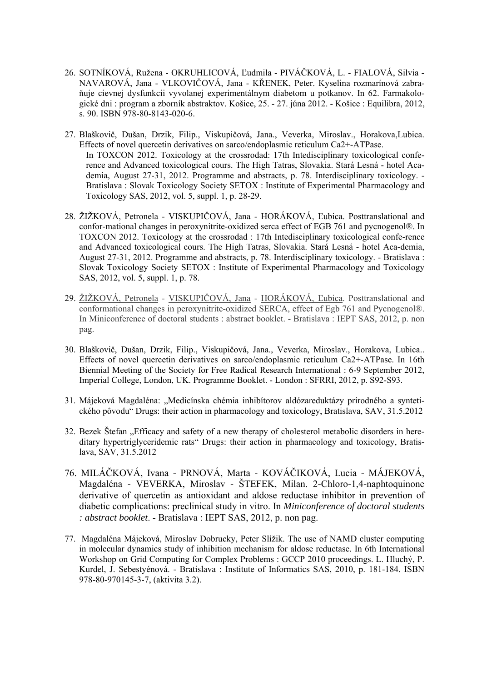- 26. SOTNÍKOVÁ, Ružena OKRUHLICOVÁ, Ľudmila PIVÁČKOVÁ, L. FIALOVÁ, Silvia NAVAROVÁ, Jana - VLKOVIČOVÁ, Jana - KŘENEK, Peter. Kyselina rozmarínová zabraňuje cievnej dysfunkcii vyvolanej experimentálnym diabetom u potkanov. In 62. Farmakologické dni : program a zborník abstraktov. Košice, 25. - 27. júna 2012. - Košice : Equilibra, 2012, s. 90. ISBN 978-80-8143-020-6.
- 27. Blaškovič, Dušan, Drzik, Filip., Viskupičová, Jana., Veverka, Miroslav., Horakova,Lubica. Effects of novel quercetin derivatives on sarco/endoplasmic reticulum Ca2+-ATPase. In TOXCON 2012. Toxicology at the crossrodad: 17th Intedisciplinary toxicological conference and Advanced toxicological cours. The High Tatras, Slovakia. Stará Lesná - hotel Academia, August 27-31, 2012. Programme and abstracts, p. 78. Interdisciplinary toxicology. - Bratislava : Slovak Toxicology Society SETOX : Institute of Experimental Pharmacology and Toxicology SAS, 2012, vol. 5, suppl. 1, p. 28-29.
- 28. ŽIŽKOVÁ, Petronela VISKUPIČOVÁ, Jana HORÁKOVÁ, Ľubica. Posttranslational and confor-mational changes in peroxynitrite-oxidized serca effect of EGB 761 and pycnogenol®. In TOXCON 2012. Toxicology at the crossrodad : 17th Intedisciplinary toxicological confe-rence and Advanced toxicological cours. The High Tatras, Slovakia. Stará Lesná - hotel Aca-demia, August 27-31, 2012. Programme and abstracts, p. 78. Interdisciplinary toxicology. - Bratislava : Slovak Toxicology Society SETOX : Institute of Experimental Pharmacology and Toxicology SAS, 2012, vol. 5, suppl. 1, p. 78.
- 29. ŽIŽKOVÁ, Petronela VISKUPIČOVÁ, Jana HORÁKOVÁ, Ľubica. Posttranslational and conformational changes in peroxynitrite-oxidized SERCA, effect of Egb 761 and Pycnogenol®. In Miniconference of doctoral students : abstract booklet. - Bratislava : IEPT SAS, 2012, p. non pag.
- 30. Blaškovič, Dušan, Drzik, Filip., Viskupičová, Jana., Veverka, Miroslav., Horakova, Lubica.. Effects of novel quercetin derivatives on sarco/endoplasmic reticulum Ca2+-ATPase. In 16th Biennial Meeting of the Society for Free Radical Research International : 6-9 September 2012, Imperial College, London, UK. Programme Booklet. - London : SFRRI, 2012, p. S92-S93.
- 31. Májeková Magdaléna: "Medicínska chémia inhibítorov aldózareduktázy prírodného a syntetického pôvodu" Drugs: their action in pharmacology and toxicology, Bratislava, SAV, 31.5.2012
- 32. Bezek Štefan ...Efficacy and safety of a new therapy of cholesterol metabolic disorders in hereditary hypertriglyceridemic rats" Drugs: their action in pharmacology and toxicology, Bratislava, SAV, 31.5.2012
- 76. MILÁČKOVÁ, Ivana PRNOVÁ, Marta KOVÁČIKOVÁ, Lucia MÁJEKOVÁ, Magdaléna - VEVERKA, Miroslav - ŠTEFEK, Milan. 2-Chloro-1,4-naphtoquinone derivative of quercetin as antioxidant and aldose reductase inhibitor in prevention of diabetic complications: preclinical study in vitro. In *Miniconference of doctoral students : abstract booklet*. - Bratislava : IEPT SAS, 2012, p. non pag.
- 77. Magdaléna Májeková, Miroslav Dobrucky, Peter Slížik. The use of NAMD cluster computing in molecular dynamics study of inhibition mechanism for aldose reductase. In 6th International Workshop on Grid Computing for Complex Problems : GCCP 2010 proceedings. L. Hluchý, P. Kurdel, J. Sebestyénová. - Bratislava : Institute of Informatics SAS, 2010, p. 181-184. ISBN 978-80-970145-3-7, (aktivita 3.2).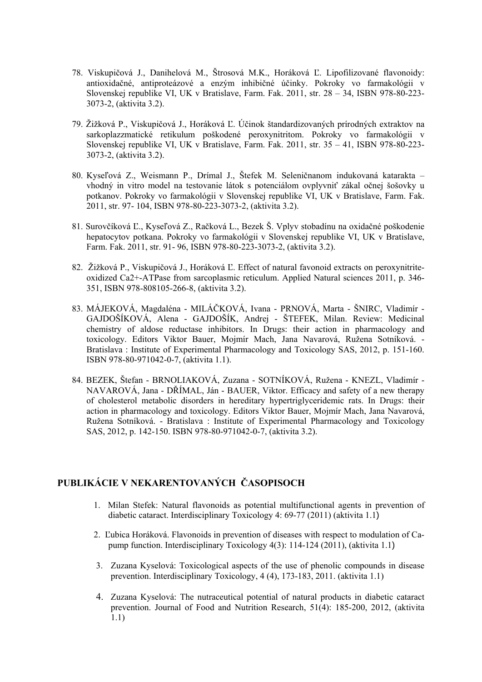- 78. Viskupičová J., Danihelová M., Štrosová M.K., Horáková Ľ. Lipofilizované flavonoidy: antioxidačné, antiproteázové a enzým inhibičné účinky. Pokroky vo farmakológii v Slovenskej republike VI, UK v Bratislave, Farm. Fak. 2011, str. 28 – 34, ISBN 978-80-223- 3073-2, (aktivita 3.2).
- 79. Žižková P., Viskupičová J., Horáková Ľ. Účinok štandardizovaných prírodných extraktov na sarkoplazzmatické retikulum poškodené peroxynitritom. Pokroky vo farmakológii v Slovenskej republike VI, UK v Bratislave, Farm. Fak. 2011, str. 35 – 41, ISBN 978-80-223- 3073-2, (aktivita 3.2).
- 80. Kyseľová Z., Weismann P., Drímal J., Štefek M. Seleničnanom indukovaná katarakta vhodný in vitro model na testovanie látok s potenciálom ovplyvniť zákal očnej šošovky u potkanov. Pokroky vo farmakológii v Slovenskej republike VI, UK v Bratislave, Farm. Fak. 2011, str. 97- 104, ISBN 978-80-223-3073-2, (aktivita 3.2).
- 81. Surovčíková Ľ., Kyseľová Z., Račková L., Bezek Š. Vplyv stobadínu na oxidačné poškodenie hepatocytov potkana. Pokroky vo farmakológii v Slovenskej republike VI, UK v Bratislave, Farm. Fak. 2011, str. 91- 96, ISBN 978-80-223-3073-2, (aktivita 3.2).
- 82. Žižková P., Viskupičová J., Horáková Ľ. Effect of natural favonoid extracts on peroxynitriteoxidized Ca2+-ATPase from sarcoplasmic reticulum. Applied Natural sciences 2011, p. 346- 351, ISBN 978-808105-266-8, (aktivita 3.2).
- 83. MÁJEKOVÁ, Magdaléna MILÁČKOVÁ, Ivana PRNOVÁ, Marta ŠNIRC, Vladimír GAJDOŠÍKOVÁ, Alena - GAJDOŠÍK, Andrej - ŠTEFEK, Milan. Review: Medicinal chemistry of aldose reductase inhibitors. In Drugs: their action in pharmacology and toxicology. Editors Viktor Bauer, Mojmír Mach, Jana Navarová, Ružena Sotníková. - Bratislava : Institute of Experimental Pharmacology and Toxicology SAS, 2012, p. 151-160. ISBN 978-80-971042-0-7, (aktivita 1.1).
- 84. BEZEK, Štefan BRNOLIAKOVÁ, Zuzana SOTNÍKOVÁ, Ružena KNEZL, Vladimír NAVAROVÁ, Jana - DŘÍMAL, Ján - BAUER, Viktor. Efficacy and safety of a new therapy of cholesterol metabolic disorders in hereditary hypertriglyceridemic rats. In Drugs: their action in pharmacology and toxicology. Editors Viktor Bauer, Mojmír Mach, Jana Navarová, Ružena Sotníková. - Bratislava : Institute of Experimental Pharmacology and Toxicology SAS, 2012, p. 142-150. ISBN 978-80-971042-0-7, (aktivita 3.2).

## **PUBLIKÁCIE V NEKARENTOVANÝCH ČASOPISOCH**

- 1. Milan Stefek: Natural flavonoids as potential multifunctional agents in prevention of diabetic cataract. Interdisciplinary Toxicology 4: 69-77 (2011) (aktivita 1.1)
- 2. Ľubica Horáková. Flavonoids in prevention of diseases with respect to modulation of Capump function. Interdisciplinary Toxicology 4(3): 114-124 (2011), (aktivita 1.1)
- 3. Zuzana Kyselová: Toxicological aspects of the use of phenolic compounds in disease prevention. Interdisciplinary Toxicology, 4 (4), 173-183, 2011. (aktivita 1.1)
- 4. Zuzana Kyselová: The nutraceutical potential of natural products in diabetic cataract prevention. Journal of Food and Nutrition Research, 51(4): 185-200, 2012, (aktivita 1.1)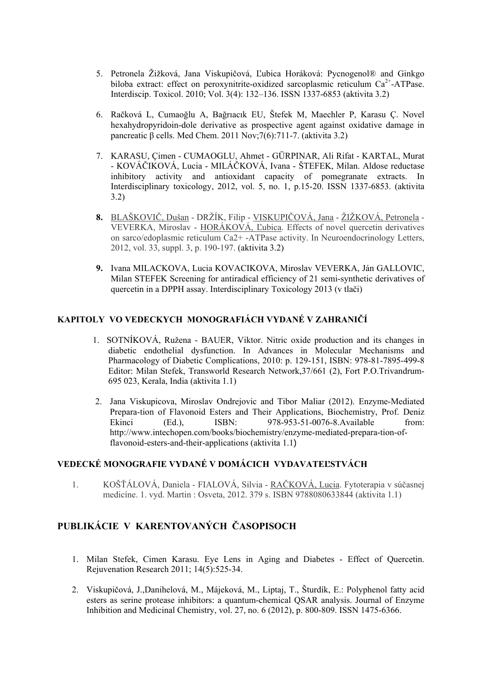- 5. Petronela Žižková, Jana Viskupičová, Ľubica Horáková: Pycnogenol® and Ginkgo biloba extract: effect on peroxynitrite-oxidized sarcoplasmic reticulum  $Ca^{2+}$ -ATPase. Interdiscip. Toxicol. 2010; Vol. 3(4): 132–136. ISSN 1337-6853 (aktivita 3.2)
- 6. Račková L, Cumaoğlu A, Bağrıacık EU, Štefek M, Maechler P, Karasu Ç. Novel hexahydropyridoin-dole derivative as prospective agent against oxidative damage in pancreatic β cells. Med Chem. 2011 Nov;7(6):711-7. (aktivita 3.2)
- 7. KARASU, Çimen CUMAOGLU, Ahmet GÜRPINAR, Ali Rifat KARTAL, Murat - KOVÁČIKOVÁ, Lucia - MILÁČKOVÁ, Ivana - ŠTEFEK, Milan. Aldose reductase inhibitory activity and antioxidant capacity of pomegranate extracts. In Interdisciplinary toxicology, 2012, vol. 5, no. 1, p.15-20. ISSN 1337-6853. (aktivita 3.2)
- **8.** BLAŠKOVIČ, Dušan DRŽÍK, Filip VISKUPIČOVÁ, Jana ŽIŽKOVÁ, Petronela VEVERKA, Miroslav - HORÁKOVÁ, Ľubica. Effects of novel quercetin derivatives on sarco/edoplasmic reticulum Ca2+ -ATPase activity. In Neuroendocrinology Letters, 2012, vol. 33, suppl. 3, p. 190-197. (aktivita 3.2)
- **9.** Ivana MILACKOVA, Lucia KOVACIKOVA, Miroslav VEVERKA, Ján GALLOVIC, Milan STEFEK Screening for antiradical efficiency of 21 semi-synthetic derivatives of quercetin in a DPPH assay. Interdisciplinary Toxicology 2013 (v tlači)

### **KAPITOLY VO VEDECKYCH MONOGRAFIÁCH VYDANÉ V ZAHRANIČÍ**

- 1. SOTNÍKOVÁ, Ružena BAUER, Viktor. Nitric oxide production and its changes in diabetic endothelial dysfunction. In Advances in Molecular Mechanisms and Pharmacology of Diabetic Complications, 2010: p. 129-151, ISBN: 978-81-7895-499-8 Editor: Milan Stefek, Transworld Research Network,37/661 (2), Fort P.O.Trivandrum-695 023, Kerala, India (aktivita 1.1)
- 2. Jana Viskupicova, Miroslav Ondrejovic and Tibor Maliar (2012). Enzyme-Mediated Prepara-tion of Flavonoid Esters and Their Applications, Biochemistry, Prof. Deniz<br>Ekinci (Ed.), ISBN: 978-953-51-0076-8. Available from:  $(Ed.)$  ISBN:  $978-953-51-0076-8$ . Available from: http://www.intechopen.com/books/biochemistry/enzyme-mediated-prepara-tion-offlavonoid-esters-and-their-applications (aktivita 1.1)

#### **VEDECKÉ MONOGRAFIE VYDANÉ V DOMÁCICH VYDAVATEĽSTVÁCH**

1. KOŠŤÁLOVÁ, Daniela - FIALOVÁ, Silvia - RAČKOVÁ, Lucia. Fytoterapia v súčasnej medicíne. 1. vyd. Martin : Osveta, 2012. 379 s. ISBN 9788080633844 (aktivita 1.1)

# **PUBLIKÁCIE V KARENTOVANÝCH ČASOPISOCH**

- 1. Milan Stefek, Cimen Karasu. Eye Lens in Aging and Diabetes Effect of Quercetin. Rejuvenation Research 2011; 14(5):525-34.
- 2. Viskupičová, J.,Danihelová, M., Májeková, M., Liptaj, T., Šturdík, E.: Polyphenol fatty acid esters as serine protease inhibitors: a quantum-chemical QSAR analysis. Journal of Enzyme Inhibition and Medicinal Chemistry, vol. 27, no. 6 (2012), p. 800-809. ISSN 1475-6366.